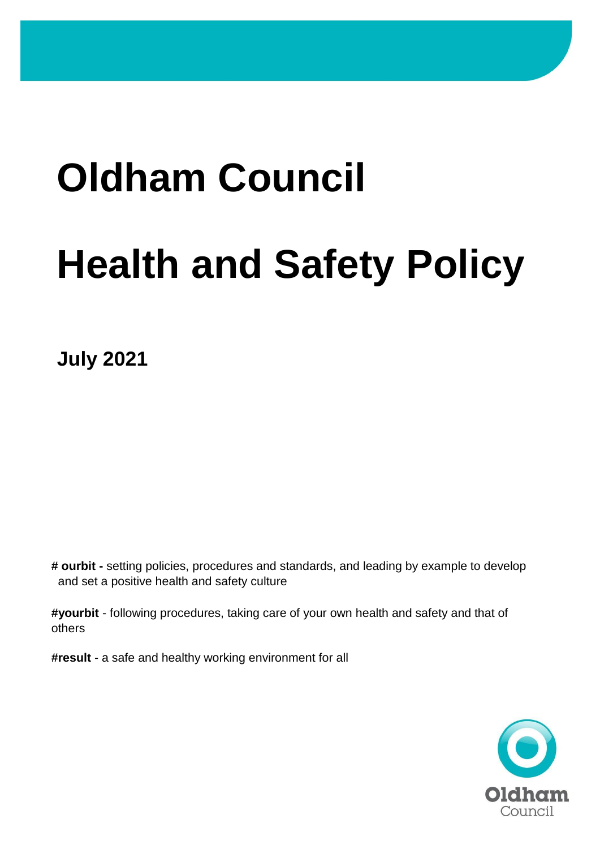# **Oldham Council**

# **Health and Safety Policy**

**July 2021**

**# ourbit -** setting policies, procedures and standards, and leading by example to develop and set a positive health and safety culture

**#yourbit** - following procedures, taking care of your own health and safety and that of others

**#result** - a safe and healthy working environment for all

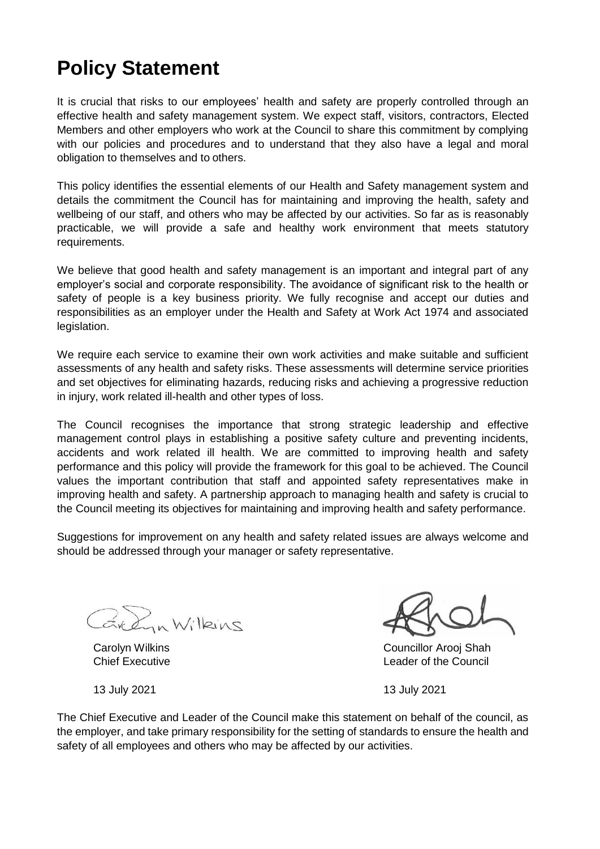## **Policy Statement**

It is crucial that risks to our employees' health and safety are properly controlled through an effective health and safety management system. We expect staff, visitors, contractors, Elected Members and other employers who work at the Council to share this commitment by complying with our policies and procedures and to understand that they also have a legal and moral obligation to themselves and to others.

This policy identifies the essential elements of our Health and Safety management system and details the commitment the Council has for maintaining and improving the health, safety and wellbeing of our staff, and others who may be affected by our activities. So far as is reasonably practicable, we will provide a safe and healthy work environment that meets statutory requirements.

We believe that good health and safety management is an important and integral part of any employer's social and corporate responsibility. The avoidance of significant risk to the health or safety of people is a key business priority. We fully recognise and accept our duties and responsibilities as an employer under the Health and Safety at Work Act 1974 and associated legislation.

We require each service to examine their own work activities and make suitable and sufficient assessments of any health and safety risks. These assessments will determine service priorities and set objectives for eliminating hazards, reducing risks and achieving a progressive reduction in injury, work related ill-health and other types of loss.

The Council recognises the importance that strong strategic leadership and effective management control plays in establishing a positive safety culture and preventing incidents, accidents and work related ill health. We are committed to improving health and safety performance and this policy will provide the framework for this goal to be achieved. The Council values the important contribution that staff and appointed safety representatives make in improving health and safety. A partnership approach to managing health and safety is crucial to the Council meeting its objectives for maintaining and improving health and safety performance.

Suggestions for improvement on any health and safety related issues are always welcome and should be addressed through your manager or safety representative.

Exem Wilkins

Carolyn Wilkins Councillor Arooj Shah Chief Executive **Leader of the Council** Chief Executive **Leader of the Council** 

13 July 2021 13 July 2021

The Chief Executive and Leader of the Council make this statement on behalf of the council, as the employer, and take primary responsibility for the setting of standards to ensure the health and safety of all employees and others who may be affected by our activities.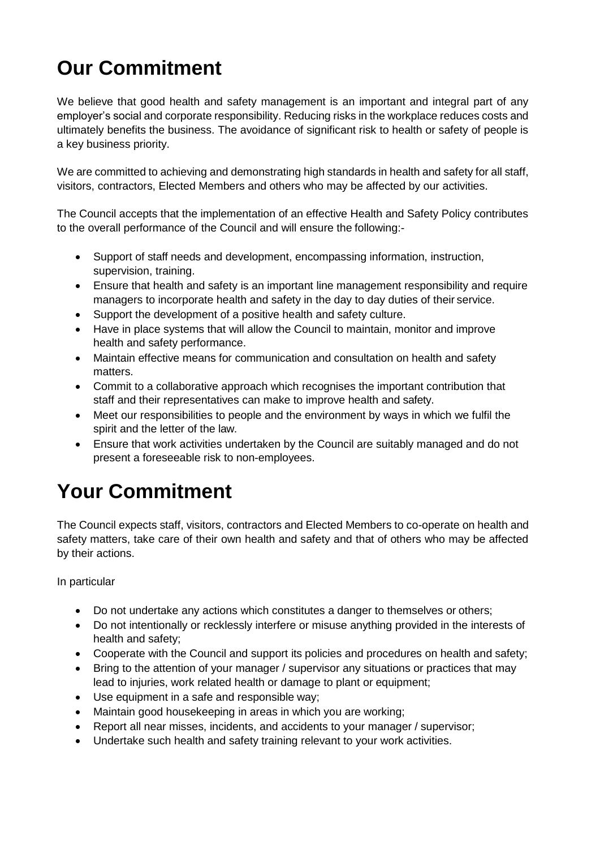## **Our Commitment**

We believe that good health and safety management is an important and integral part of any employer's social and corporate responsibility. Reducing risks in the workplace reduces costs and ultimately benefits the business. The avoidance of significant risk to health or safety of people is a key business priority.

We are committed to achieving and demonstrating high standards in health and safety for all staff, visitors, contractors, Elected Members and others who may be affected by our activities.

The Council accepts that the implementation of an effective Health and Safety Policy contributes to the overall performance of the Council and will ensure the following:-

- Support of staff needs and development, encompassing information, instruction, supervision, training.
- Ensure that health and safety is an important line management responsibility and require managers to incorporate health and safety in the day to day duties of their service.
- Support the development of a positive health and safety culture.
- Have in place systems that will allow the Council to maintain, monitor and improve health and safety performance.
- Maintain effective means for communication and consultation on health and safety matters.
- Commit to a collaborative approach which recognises the important contribution that staff and their representatives can make to improve health and safety.
- Meet our responsibilities to people and the environment by ways in which we fulfil the spirit and the letter of the law.
- Ensure that work activities undertaken by the Council are suitably managed and do not present a foreseeable risk to non-employees.

## **Your Commitment**

The Council expects staff, visitors, contractors and Elected Members to co-operate on health and safety matters, take care of their own health and safety and that of others who may be affected by their actions.

In particular

- Do not undertake any actions which constitutes a danger to themselves or others;
- Do not intentionally or recklessly interfere or misuse anything provided in the interests of health and safety;
- Cooperate with the Council and support its policies and procedures on health and safety;
- Bring to the attention of your manager / supervisor any situations or practices that may lead to injuries, work related health or damage to plant or equipment;
- Use equipment in a safe and responsible way;
- Maintain good housekeeping in areas in which you are working;
- Report all near misses, incidents, and accidents to your manager / supervisor;
- Undertake such health and safety training relevant to your work activities.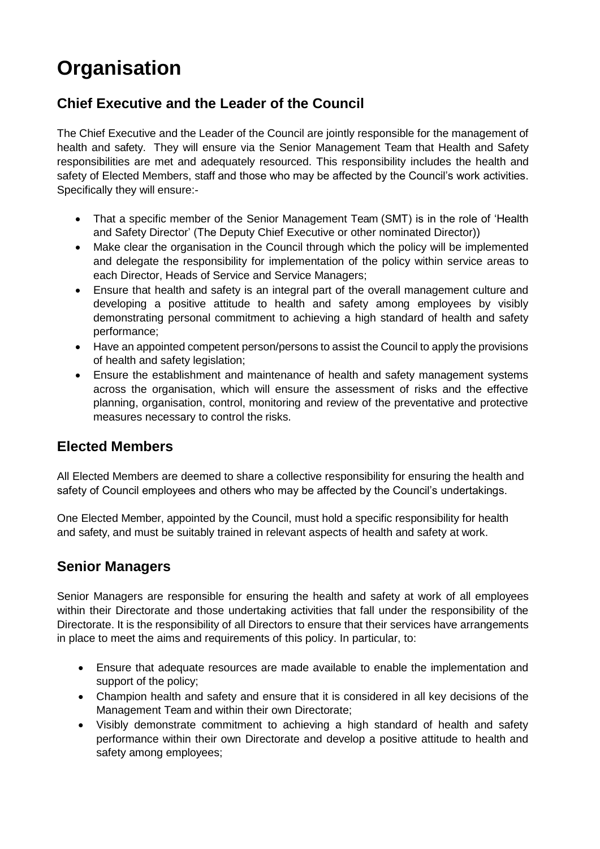## **Organisation**

### **Chief Executive and the Leader of the Council**

The Chief Executive and the Leader of the Council are jointly responsible for the management of health and safety. They will ensure via the Senior Management Team that Health and Safety responsibilities are met and adequately resourced. This responsibility includes the health and safety of Elected Members, staff and those who may be affected by the Council's work activities. Specifically they will ensure:-

- That a specific member of the Senior Management Team (SMT) is in the role of 'Health and Safety Director' (The Deputy Chief Executive or other nominated Director))
- Make clear the organisation in the Council through which the policy will be implemented and delegate the responsibility for implementation of the policy within service areas to each Director, Heads of Service and Service Managers;
- Ensure that health and safety is an integral part of the overall management culture and developing a positive attitude to health and safety among employees by visibly demonstrating personal commitment to achieving a high standard of health and safety performance;
- Have an appointed competent person/persons to assist the Council to apply the provisions of health and safety legislation;
- Ensure the establishment and maintenance of health and safety management systems across the organisation, which will ensure the assessment of risks and the effective planning, organisation, control, monitoring and review of the preventative and protective measures necessary to control the risks.

#### **Elected Members**

All Elected Members are deemed to share a collective responsibility for ensuring the health and safety of Council employees and others who may be affected by the Council's undertakings.

One Elected Member, appointed by the Council, must hold a specific responsibility for health and safety, and must be suitably trained in relevant aspects of health and safety at work.

### **Senior Managers**

Senior Managers are responsible for ensuring the health and safety at work of all employees within their Directorate and those undertaking activities that fall under the responsibility of the Directorate. It is the responsibility of all Directors to ensure that their services have arrangements in place to meet the aims and requirements of this policy. In particular, to:

- Ensure that adequate resources are made available to enable the implementation and support of the policy;
- Champion health and safety and ensure that it is considered in all key decisions of the Management Team and within their own Directorate;
- Visibly demonstrate commitment to achieving a high standard of health and safety performance within their own Directorate and develop a positive attitude to health and safety among employees;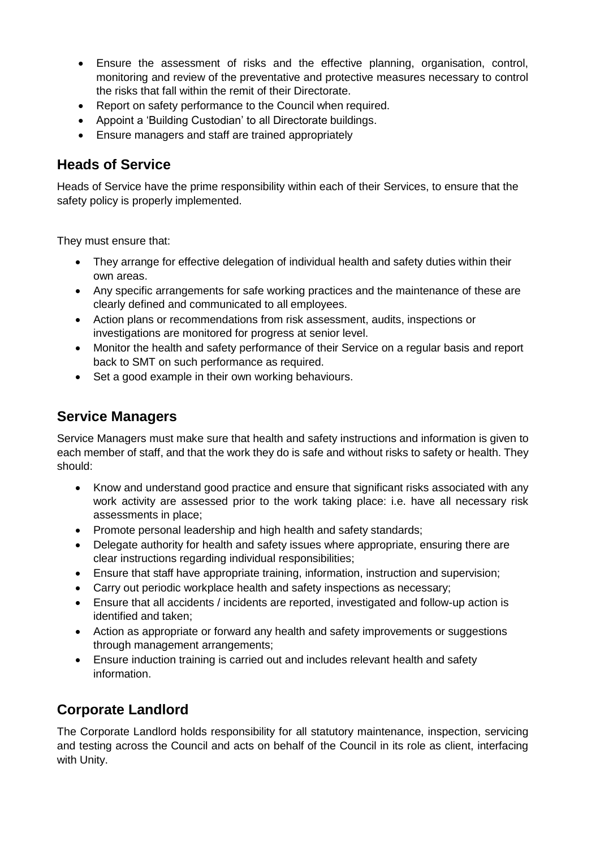- Ensure the assessment of risks and the effective planning, organisation, control, monitoring and review of the preventative and protective measures necessary to control the risks that fall within the remit of their Directorate.
- Report on safety performance to the Council when required.
- Appoint a 'Building Custodian' to all Directorate buildings.
- Ensure managers and staff are trained appropriately

#### **Heads of Service**

Heads of Service have the prime responsibility within each of their Services, to ensure that the safety policy is properly implemented.

They must ensure that:

- They arrange for effective delegation of individual health and safety duties within their own areas.
- Any specific arrangements for safe working practices and the maintenance of these are clearly defined and communicated to all employees.
- Action plans or recommendations from risk assessment, audits, inspections or investigations are monitored for progress at senior level.
- Monitor the health and safety performance of their Service on a regular basis and report back to SMT on such performance as required.
- Set a good example in their own working behaviours.

#### **Service Managers**

Service Managers must make sure that health and safety instructions and information is given to each member of staff, and that the work they do is safe and without risks to safety or health. They should:

- Know and understand good practice and ensure that significant risks associated with any work activity are assessed prior to the work taking place: i.e. have all necessary risk assessments in place;
- Promote personal leadership and high health and safety standards;
- Delegate authority for health and safety issues where appropriate, ensuring there are clear instructions regarding individual responsibilities;
- Ensure that staff have appropriate training, information, instruction and supervision;
- Carry out periodic workplace health and safety inspections as necessary;
- Ensure that all accidents / incidents are reported, investigated and follow-up action is identified and taken;
- Action as appropriate or forward any health and safety improvements or suggestions through management arrangements;
- Ensure induction training is carried out and includes relevant health and safety information.

#### **Corporate Landlord**

The Corporate Landlord holds responsibility for all statutory maintenance, inspection, servicing and testing across the Council and acts on behalf of the Council in its role as client, interfacing with Unity.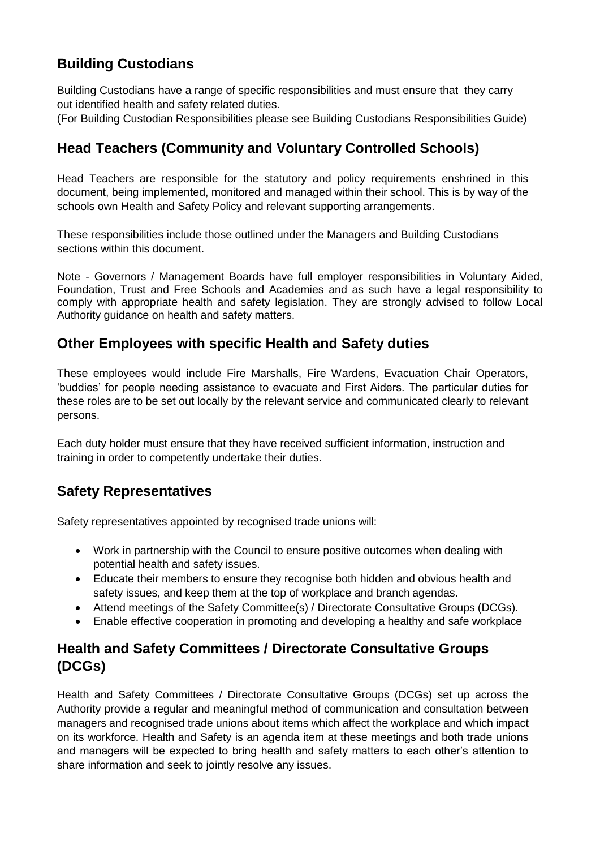#### **Building Custodians**

Building Custodians have a range of specific responsibilities and must ensure that they carry out identified health and safety related duties.

(For Building Custodian Responsibilities please see Building Custodians Responsibilities Guide)

### **Head Teachers (Community and Voluntary Controlled Schools)**

Head Teachers are responsible for the statutory and policy requirements enshrined in this document, being implemented, monitored and managed within their school. This is by way of the schools own Health and Safety Policy and relevant supporting arrangements.

These responsibilities include those outlined under the Managers and Building Custodians sections within this document.

Note - Governors / Management Boards have full employer responsibilities in Voluntary Aided, Foundation, Trust and Free Schools and Academies and as such have a legal responsibility to comply with appropriate health and safety legislation. They are strongly advised to follow Local Authority guidance on health and safety matters.

#### **Other Employees with specific Health and Safety duties**

These employees would include Fire Marshalls, Fire Wardens, Evacuation Chair Operators, 'buddies' for people needing assistance to evacuate and First Aiders. The particular duties for these roles are to be set out locally by the relevant service and communicated clearly to relevant persons.

Each duty holder must ensure that they have received sufficient information, instruction and training in order to competently undertake their duties.

### **Safety Representatives**

Safety representatives appointed by recognised trade unions will:

- Work in partnership with the Council to ensure positive outcomes when dealing with potential health and safety issues.
- Educate their members to ensure they recognise both hidden and obvious health and safety issues, and keep them at the top of workplace and branch agendas.
- Attend meetings of the Safety Committee(s) / Directorate Consultative Groups (DCGs).
- Enable effective cooperation in promoting and developing a healthy and safe workplace

### **Health and Safety Committees / Directorate Consultative Groups (DCGs)**

Health and Safety Committees / Directorate Consultative Groups (DCGs) set up across the Authority provide a regular and meaningful method of communication and consultation between managers and recognised trade unions about items which affect the workplace and which impact on its workforce. Health and Safety is an agenda item at these meetings and both trade unions and managers will be expected to bring health and safety matters to each other's attention to share information and seek to jointly resolve any issues.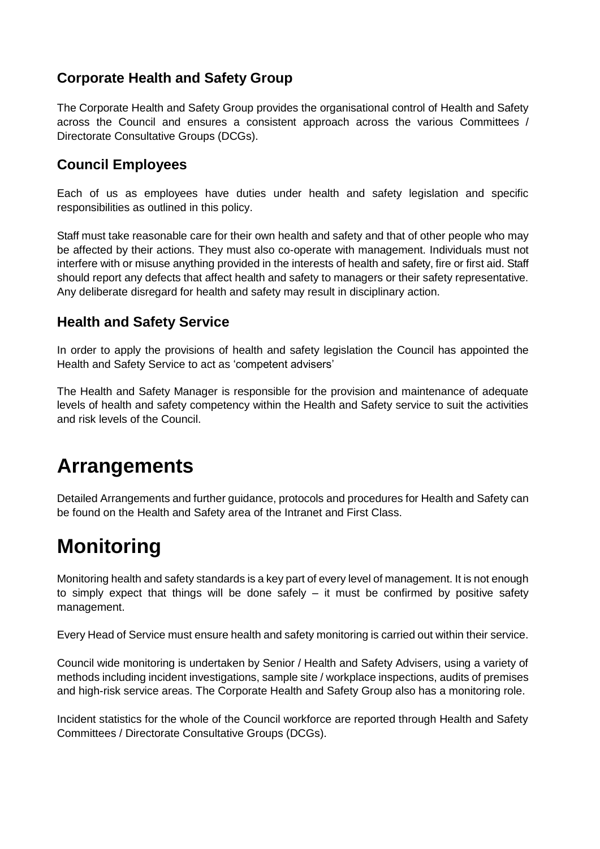#### **Corporate Health and Safety Group**

The Corporate Health and Safety Group provides the organisational control of Health and Safety across the Council and ensures a consistent approach across the various Committees / Directorate Consultative Groups (DCGs).

#### **Council Employees**

Each of us as employees have duties under health and safety legislation and specific responsibilities as outlined in this policy.

Staff must take reasonable care for their own health and safety and that of other people who may be affected by their actions. They must also co-operate with management. Individuals must not interfere with or misuse anything provided in the interests of health and safety, fire or first aid. Staff should report any defects that affect health and safety to managers or their safety representative. Any deliberate disregard for health and safety may result in disciplinary action.

#### **Health and Safety Service**

In order to apply the provisions of health and safety legislation the Council has appointed the Health and Safety Service to act as 'competent advisers'

The Health and Safety Manager is responsible for the provision and maintenance of adequate levels of health and safety competency within the Health and Safety service to suit the activities and risk levels of the Council.

## **Arrangements**

Detailed Arrangements and further guidance, protocols and procedures for Health and Safety can be found on the Health and Safety area of the Intranet and First Class.

## **Monitoring**

Monitoring health and safety standards is a key part of every level of management. It is not enough to simply expect that things will be done safely – it must be confirmed by positive safety management.

Every Head of Service must ensure health and safety monitoring is carried out within their service.

Council wide monitoring is undertaken by Senior / Health and Safety Advisers, using a variety of methods including incident investigations, sample site / workplace inspections, audits of premises and high-risk service areas. The Corporate Health and Safety Group also has a monitoring role.

Incident statistics for the whole of the Council workforce are reported through Health and Safety Committees / Directorate Consultative Groups (DCGs).